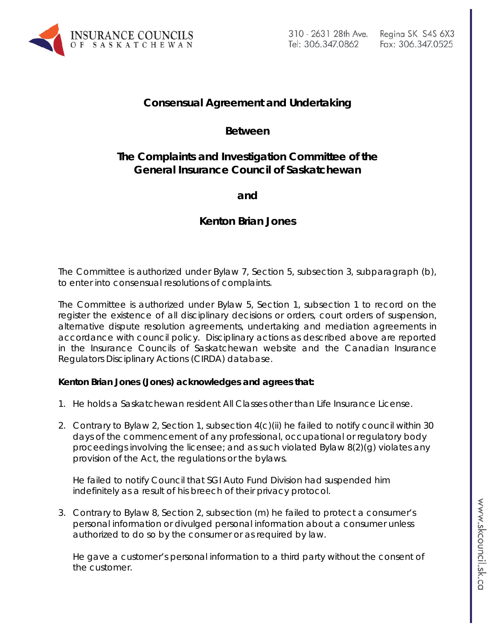

# **Consensual Agreement and Undertaking**

### **Between**

### **The Complaints and Investigation Committee of the General Insurance Council of Saskatchewan**

**and** 

# **Kenton Brian Jones**

The Committee is authorized under Bylaw 7, Section 5, subsection 3, subparagraph (b), to enter into consensual resolutions of complaints.

The Committee is authorized under Bylaw 5, Section 1, subsection 1 to record on the register the existence of all disciplinary decisions or orders, court orders of suspension, alternative dispute resolution agreements, undertaking and mediation agreements in accordance with council policy. Disciplinary actions as described above are reported in the Insurance Councils of Saskatchewan website and the Canadian Insurance Regulators Disciplinary Actions (CIRDA) database.

#### **Kenton Brian Jones (Jones) acknowledges and agrees that:**

- 1. He holds a Saskatchewan resident All Classes other than Life Insurance License.
- 2. Contrary to Bylaw 2, Section 1, subsection 4(c)(ii) he failed to notify council within 30 days of the commencement of any professional, occupational or regulatory body proceedings involving the licensee; and as such violated Bylaw 8(2)(g) violates any provision of the Act, the regulations or the bylaws.

He failed to notify Council that SGI Auto Fund Division had suspended him indefinitely as a result of his breech of their privacy protocol.

3. Contrary to Bylaw 8, Section 2, subsection (m) he failed to protect a consumer's personal information or divulged personal information about a consumer unless authorized to do so by the consumer or as required by law.

He gave a customer's personal information to a third party without the consent of the customer.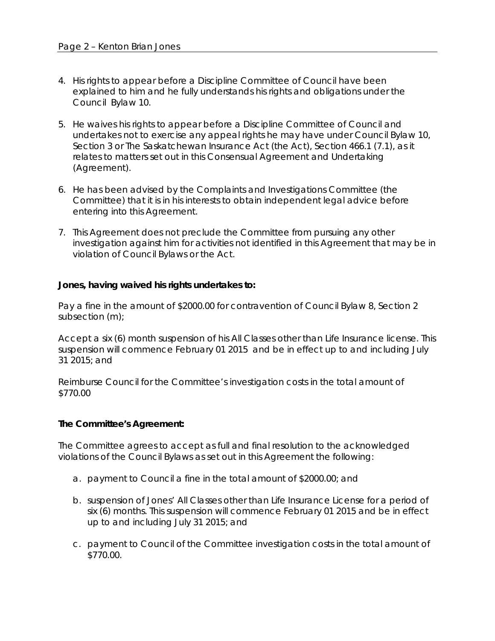- 4. His rights to appear before a Discipline Committee of Council have been explained to him and he fully understands his rights and obligations under the Council Bylaw 10.
- 5. He waives his rights to appear before a Discipline Committee of Council and undertakes not to exercise any appeal rights he may have under Council Bylaw 10, Section 3 or *The Saskatchewan Insurance Act* (the Act), Section 466.1 (7.1), as it relates to matters set out in this Consensual Agreement and Undertaking (Agreement).
- 6. He has been advised by the Complaints and Investigations Committee (the Committee) that it is in his interests to obtain independent legal advice before entering into this Agreement.
- 7. This Agreement does not preclude the Committee from pursuing any other investigation against him for activities not identified in this Agreement that may be in violation of Council Bylaws or the Act.

#### **Jones, having waived his rights undertakes to:**

Pay a fine in the amount of \$2000.00 for contravention of Council Bylaw 8, Section 2 subsection (m);

Accept a six (6) month suspension of his All Classes other than Life Insurance license. This suspension will commence February 01 2015 and be in effect up to and including July 31 2015; and

Reimburse Council for the Committee's investigation costs in the total amount of \$770.00

#### **The Committee's Agreement:**

The Committee agrees to accept as full and final resolution to the acknowledged violations of the Council Bylaws as set out in this Agreement the following:

- a. payment to Council a fine in the total amount of \$2000.00; and
- b. suspension of Jones' All Classes other than Life Insurance License for a period of six (6) months. This suspension will commence February 01 2015 and be in effect up to and including July 31 2015; and
- c. payment to Council of the Committee investigation costs in the total amount of \$770.00.